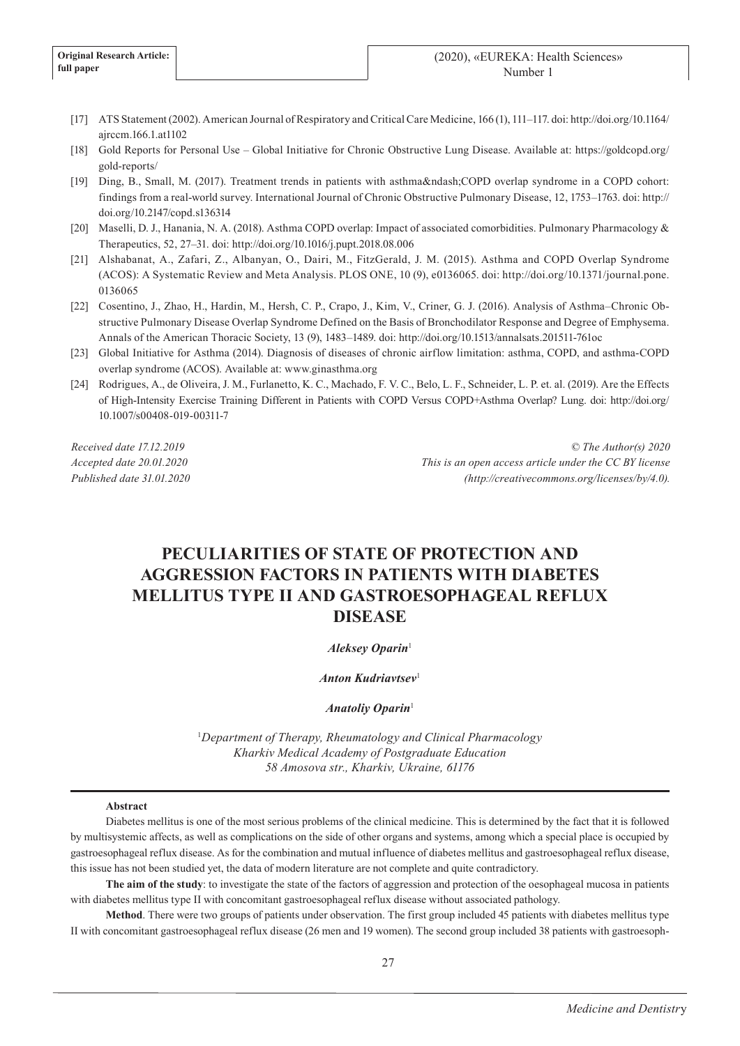- [17] ATS Statement (2002). American Journal of Respiratory and Critical Care Medicine, 166 (1), 111–117. doi: http://doi.org/10.1164/ ajrccm.166.1.at1102
- [18] Gold Reports for Personal Use Global Initiative for Chronic Obstructive Lung Disease. Available at: https://goldcopd.org/ gold-reports/
- [19] Ding, B., Small, M. (2017). Treatment trends in patients with asthma–COPD overlap syndrome in a COPD cohort: findings from a real-world survey. International Journal of Chronic Obstructive Pulmonary Disease, 12, 1753–1763. doi: http:// doi.org/10.2147/copd.s136314
- [20] Maselli, D. J., Hanania, N. A. (2018). Asthma COPD overlap: Impact of associated comorbidities. Pulmonary Pharmacology & Therapeutics, 52, 27–31. doi: http://doi.org/10.1016/j.pupt.2018.08.006
- [21] Alshabanat, A., Zafari, Z., Albanyan, O., Dairi, M., FitzGerald, J. M. (2015). Asthma and COPD Overlap Syndrome (ACOS): A Systematic Review and Meta Analysis. PLOS ONE, 10 (9), e0136065. doi: http://doi.org/10.1371/journal.pone. 0136065
- [22] Cosentino, J., Zhao, H., Hardin, M., Hersh, C. P., Crapo, J., Kim, V., Criner, G. J. (2016). Analysis of Asthma–Chronic Obstructive Pulmonary Disease Overlap Syndrome Defined on the Basis of Bronchodilator Response and Degree of Emphysema. Annals of the American Thoracic Society, 13 (9), 1483–1489. doi: http://doi.org/10.1513/annalsats.201511-761oc
- [23] Global Initiative for Asthma (2014). Diagnosis of diseases of chronic airflow limitation: asthma, COPD, and asthma-COPD overlap syndrome (ACOS). Available at: www.ginasthma.org
- [24] Rodrigues, A., de Oliveira, J. M., Furlanetto, K. C., Machado, F. V. C., Belo, L. F., Schneider, L. P. et. al. (2019). Are the Effects of High-Intensity Exercise Training Different in Patients with COPD Versus COPD+Asthma Overlap? Lung. doi: http://doi.org/ 10.1007/s00408-019-00311-7

*Received date 17.12.2019 Accepted date 20.01.2020 Published date 31.01.2020*

*© The Author(s) 2020 This is an open access article under the CC BY license (http://creativecommons.org/licenses/by/4.0).*

# **PECULIARITIES OF STATE OF PROTECTION AND AGGRESSION FACTORS IN PATIENTS WITH DIABETES MELLITUS TYPE II AND GASTROESOPHAGEAL REFLUX DISEASE**

# *Aleksey Oparin*<sup>1</sup>

## *Anton Kudriavtsev*<sup>1</sup>

### *Anatoliy Oparin*<sup>1</sup>

<sup>1</sup>*Department of Therapy, Rheumatology and Clinical Pharmacology Kharkiv Medical Academy of Postgraduate Education 58 Amosova str., Kharkiv, Ukraine, 61176*

#### **Abstract**

Diabetes mellitus is one of the most serious problems of the clinical medicine. This is determined by the fact that it is followed by multisystemic affects, as well as complications on the side of other organs and systems, among which a special place is occupied by gastroesophageal reflux disease. As for the combination and mutual influence of diabetes mellitus and gastroesophageal reflux disease, this issue has not been studied yet, the data of modern literature are not complete and quite contradictory.

**The aim of the study**: to investigate the state of the factors of aggression and protection of the oesophageal mucosa in patients with diabetes mellitus type II with concomitant gastroesophageal reflux disease without associated pathology.

**Method**. There were two groups of patients under observation. The first group included 45 patients with diabetes mellitus type II with concomitant gastroesophageal reflux disease (26 men and 19 women). The second group included 38 patients with gastroesoph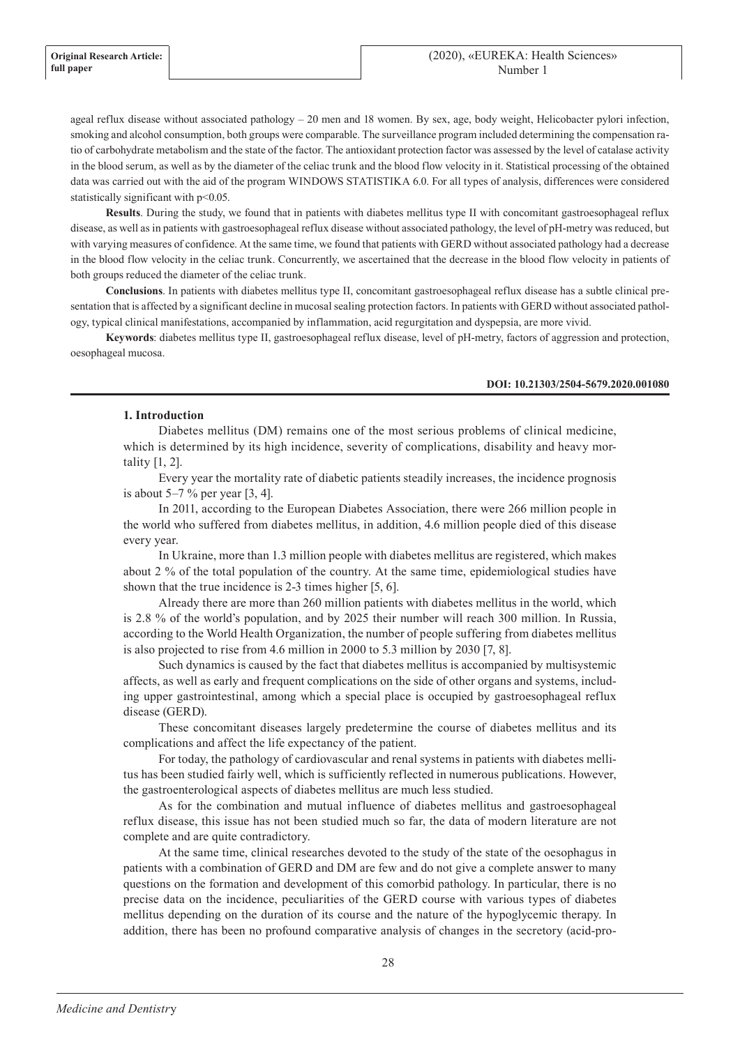ageal reflux disease without associated pathology – 20 men and 18 women. By sex, age, body weight, Helicobacter pylori infection, smoking and alcohol consumption, both groups were comparable. The surveillance program included determining the compensation ratio of carbohydrate metabolism and the state of the factor. The antioxidant protection factor was assessed by the level of catalase activity in the blood serum, as well as by the diameter of the celiac trunk and the blood flow velocity in it. Statistical processing of the obtained data was carried out with the aid of the program WINDOWS STATISTIKA 6.0. For all types of analysis, differences were considered statistically significant with p<0.05.

**Results**. During the study, we found that in patients with diabetes mellitus type II with concomitant gastroesophageal reflux disease, as well as in patients with gastroesophageal reflux disease without associated pathology, the level of pH-metry was reduced, but with varying measures of confidence. At the same time, we found that patients with GERD without associated pathology had a decrease in the blood flow velocity in the celiac trunk. Concurrently, we ascertained that the decrease in the blood flow velocity in patients of both groups reduced the diameter of the celiac trunk.

**Conclusions**. In patients with diabetes mellitus type II, concomitant gastroesophageal reflux disease has a subtle clinical presentation that is affected by a significant decline in mucosal sealing protection factors. In patients with GERD without associated pathology, typical clinical manifestations, accompanied by inflammation, acid regurgitation and dyspepsia, are more vivid.

**Keywords**: diabetes mellitus type II, gastroesophageal reflux disease, level of pH-metry, factors of aggression and protection, oesophageal mucosa.

#### **DOI: 10.21303/2504-5679.2020.001080**

#### **1. Introduction**

Diabetes mellitus (DM) remains one of the most serious problems of clinical medicine, which is determined by its high incidence, severity of complications, disability and heavy mortality [1, 2].

Every year the mortality rate of diabetic patients steadily increases, the incidence prognosis is about  $5-7$  % per year  $[3, 4]$ .

In 2011, according to the European Diabetes Association, there were 266 million people in the world who suffered from diabetes mellitus, in addition, 4.6 million people died of this disease every year.

In Ukraine, more than 1.3 million people with diabetes mellitus are registered, which makes about 2 % of the total population of the country. At the same time, epidemiological studies have shown that the true incidence is 2-3 times higher [5, 6].

Already there are more than 260 million patients with diabetes mellitus in the world, which is 2.8 % of the world's population, and by 2025 their number will reach 300 million. In Russia, according to the World Health Organization, the number of people suffering from diabetes mellitus is also projected to rise from 4.6 million in 2000 to 5.3 million by 2030 [7, 8].

Such dynamics is caused by the fact that diabetes mellitus is accompanied by multisystemic affects, as well as early and frequent complications on the side of other organs and systems, including upper gastrointestinal, among which a special place is occupied by gastroesophageal reflux disease (GERD).

These concomitant diseases largely predetermine the course of diabetes mellitus and its complications and affect the life expectancy of the patient.

For today, the pathology of cardiovascular and renal systems in patients with diabetes mellitus has been studied fairly well, which is sufficiently reflected in numerous publications. However, the gastroenterological aspects of diabetes mellitus are much less studied.

As for the combination and mutual influence of diabetes mellitus and gastroesophageal reflux disease, this issue has not been studied much so far, the data of modern literature are not complete and are quite contradictory.

At the same time, clinical researches devoted to the study of the state of the oesophagus in patients with a combination of GERD and DM are few and do not give a complete answer to many questions on the formation and development of this comorbid pathology. In particular, there is no precise data on the incidence, peculiarities of the GERD course with various types of diabetes mellitus depending on the duration of its course and the nature of the hypoglycemic therapy. In addition, there has been no profound comparative analysis of changes in the secretory (acid-pro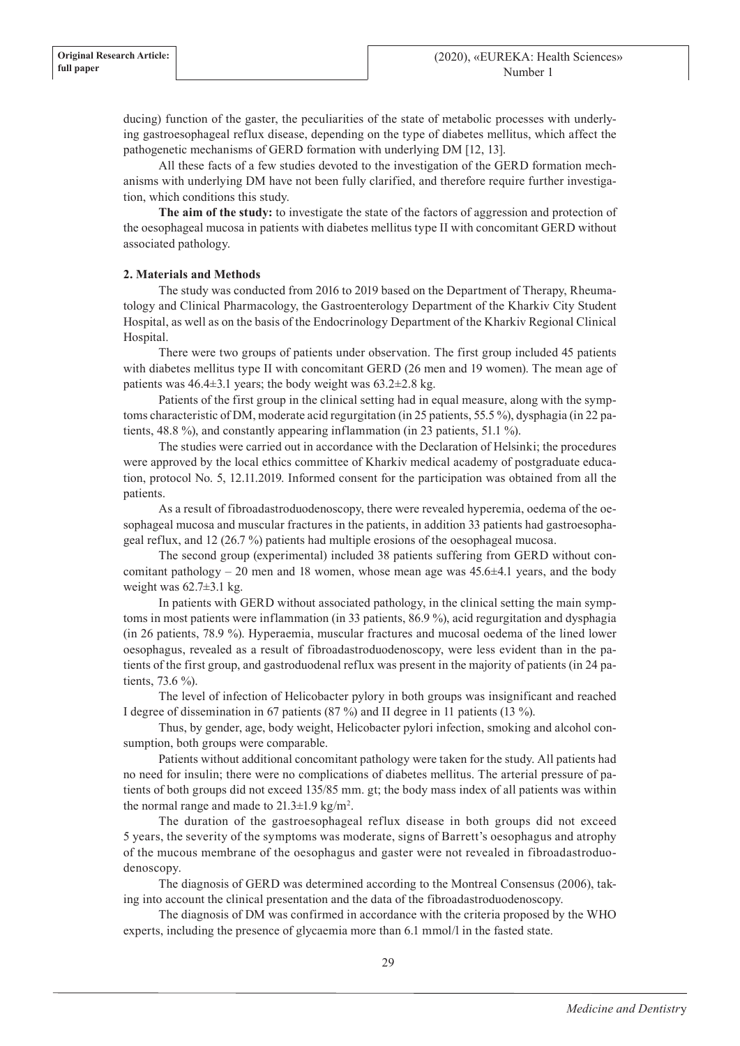ducing) function of the gaster, the peculiarities of the state of metabolic processes with underlying gastroesophageal reflux disease, depending on the type of diabetes mellitus, which affect the pathogenetic mechanisms of GERD formation with underlying DM [12, 13].

All these facts of a few studies devoted to the investigation of the GERD formation mechanisms with underlying DM have not been fully clarified, and therefore require further investigation, which conditions this study.

**The aim of the study:** to investigate the state of the factors of aggression and protection of the oesophageal mucosa in patients with diabetes mellitus type II with concomitant GERD without associated pathology.

# **2. Materials and Methods**

The study was conducted from 2016 to 2019 based on the Department of Therapy, Rheumatology and Clinical Pharmacology, the Gastroenterology Department of the Kharkiv City Student Hospital, as well as on the basis of the Endocrinology Department of the Kharkiv Regional Clinical Hospital.

There were two groups of patients under observation. The first group included 45 patients with diabetes mellitus type II with concomitant GERD (26 men and 19 women). The mean age of patients was  $46.4\pm3.1$  years; the body weight was  $63.2\pm2.8$  kg.

Patients of the first group in the clinical setting had in equal measure, along with the symptoms characteristic of DM, moderate acid regurgitation (in 25 patients, 55.5 %), dysphagia (in 22 patients, 48.8 %), and constantly appearing inflammation (in 23 patients, 51.1 %).

The studies were carried out in accordance with the Declaration of Helsinki; the procedures were approved by the local ethics committee of Kharkiv medical academy of postgraduate education, protocol No. 5, 12.11.2019. Informed consent for the participation was obtained from all the patients.

As a result of fibroadastroduodenoscopy, there were revealed hyperemia, oedema of the oesophageal mucosa and muscular fractures in the patients, in addition 33 patients had gastroesophageal reflux, and 12 (26.7 %) patients had multiple erosions of the oesophageal mucosa.

The second group (experimental) included 38 patients suffering from GERD without concomitant pathology – 20 men and 18 women, whose mean age was  $45.6\pm4.1$  years, and the body weight was  $62.7\pm3.1$  kg.

In patients with GERD without associated pathology, in the clinical setting the main symptoms in most patients were inflammation (in 33 patients, 86.9 %), acid regurgitation and dysphagia (in 26 patients, 78.9 %). Hyperaemia, muscular fractures and mucosal oedema of the lined lower oesophagus, revealed as a result of fibroadastroduodenoscopy, were less evident than in the patients of the first group, and gastroduodenal reflux was present in the majority of patients (in 24 patients, 73.6 %).

The level of infection of Helicobacter pylory in both groups was insignificant and reached I degree of dissemination in 67 patients (87 %) and II degree in 11 patients (13 %).

Thus, by gender, age, body weight, Helicobacter pylori infection, smoking and alcohol consumption, both groups were comparable.

Patients without additional concomitant pathology were taken for the study. All patients had no need for insulin; there were no complications of diabetes mellitus. The arterial pressure of patients of both groups did not exceed 135/85 mm. gt; the body mass index of all patients was within the normal range and made to  $21.3 \pm 1.9$  kg/m<sup>2</sup>.

The duration of the gastroesophageal reflux disease in both groups did not exceed 5 years, the severity of the symptoms was moderate, signs of Barrett's oesophagus and atrophy of the mucous membrane of the oesophagus and gaster were not revealed in fibroadastroduodenoscopy.

The diagnosis of GERD was determined according to the Montreal Consensus (2006), taking into account the clinical presentation and the data of the fibroadastroduodenoscopy.

The diagnosis of DM was confirmed in accordance with the criteria proposed by the WHO experts, including the presence of glycaemia more than 6.1 mmol/l in the fasted state.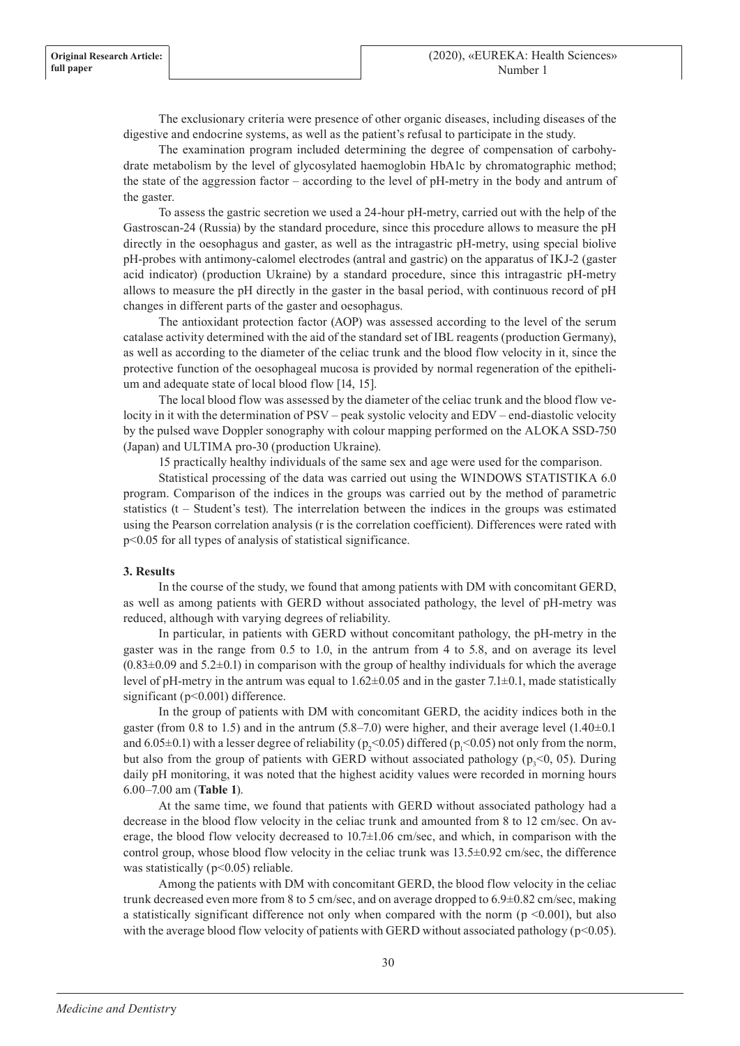The exclusionary criteria were presence of other organic diseases, including diseases of the digestive and endocrine systems, as well as the patient's refusal to participate in the study.

The examination program included determining the degree of compensation of carbohydrate metabolism by the level of glycosylated haemoglobin HbA1c by chromatographic method; the state of the aggression factor – according to the level of pH-metry in the body and antrum of the gaster.

To assess the gastric secretion we used a 24-hour pH-metry, carried out with the help of the Gastroscan-24 (Russia) by the standard procedure, since this procedure allows to measure the pH directly in the oesophagus and gaster, as well as the intragastric pH-metry, using special biolive pH-probes with antimony-calomel electrodes (antral and gastric) on the apparatus of IKJ-2 (gaster acid indicator) (production Ukraine) by a standard procedure, since this intragastric pH-metry allows to measure the pH directly in the gaster in the basal period, with continuous record of pH changes in different parts of the gaster and oesophagus.

The antioxidant protection factor (AOP) was assessed according to the level of the serum catalase activity determined with the aid of the standard set of IBL reagents (production Germany), as well as according to the diameter of the celiac trunk and the blood flow velocity in it, since the protective function of the oesophageal mucosa is provided by normal regeneration of the epithelium and adequate state of local blood flow [14, 15].

The local blood flow was assessed by the diameter of the celiac trunk and the blood flow velocity in it with the determination of PSV – peak systolic velocity and EDV – end-diastolic velocity by the pulsed wave Doppler sonography with colour mapping performed on the ALOKA SSD-750 (Japan) and ULTIMA pro-30 (production Ukraine).

15 practically healthy individuals of the same sex and age were used for the comparison.

Statistical processing of the data was carried out using the WINDOWS STATISTIKA 6.0 program. Comparison of the indices in the groups was carried out by the method of parametric statistics (t – Student's test). The interrelation between the indices in the groups was estimated using the Pearson correlation analysis (r is the correlation coefficient). Differences were rated with p<0.05 for all types of analysis of statistical significance.

# **3. Results**

In the course of the study, we found that among patients with DM with concomitant GERD, as well as among patients with GERD without associated pathology, the level of pH-metry was reduced, although with varying degrees of reliability.

In particular, in patients with GERD without concomitant pathology, the pH-metry in the gaster was in the range from 0.5 to 1.0, in the antrum from 4 to 5.8, and on average its level  $(0.83\pm0.09$  and  $5.2\pm0.1)$  in comparison with the group of healthy individuals for which the average level of pH-metry in the antrum was equal to  $1.62 \pm 0.05$  and in the gaster 7.1 $\pm 0.1$ , made statistically significant (p<0.001) difference.

In the group of patients with DM with concomitant GERD, the acidity indices both in the gaster (from 0.8 to 1.5) and in the antrum  $(5.8-7.0)$  were higher, and their average level  $(1.40\pm0.1)$ and 6.05±0.1) with a lesser degree of reliability ( $p_2$ <0.05) differed ( $p_1$ <0.05) not only from the norm, but also from the group of patients with GERD without associated pathology  $(p_3<0, 05)$ . During daily pH monitoring, it was noted that the highest acidity values were recorded in morning hours 6.00–7.00 am (**Table 1**).

At the same time, we found that patients with GERD without associated pathology had a decrease in the blood flow velocity in the celiac trunk and amounted from 8 to 12 cm/sec. On average, the blood flow velocity decreased to 10.7±1.06 cm/sec, and which, in comparison with the control group, whose blood flow velocity in the celiac trunk was  $13.5\pm0.92$  cm/sec, the difference was statistically ( $p<0.05$ ) reliable.

Among the patients with DM with concomitant GERD, the blood flow velocity in the celiac trunk decreased even more from 8 to 5 cm/sec, and on average dropped to 6.9±0.82 cm/sec, making a statistically significant difference not only when compared with the norm ( $p \le 0.001$ ), but also with the average blood flow velocity of patients with GERD without associated pathology ( $p<0.05$ ).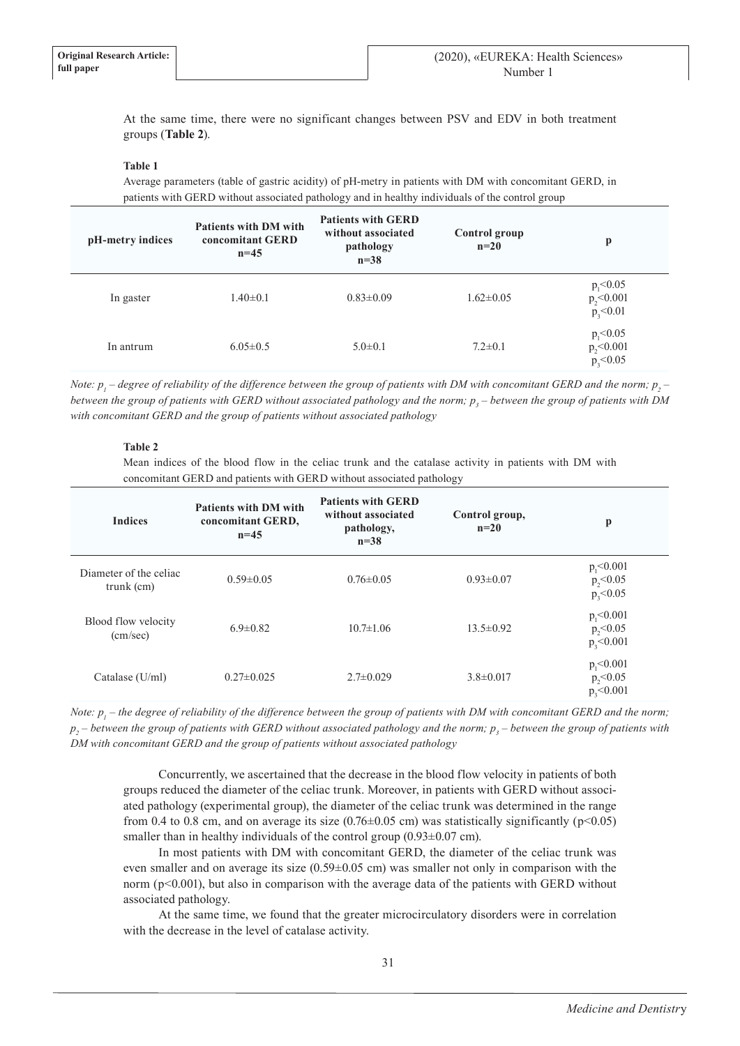At the same time, there were no significant changes between PSV and EDV in both treatment groups (**Table 2**).

## **Table 1**

Average parameters (table of gastric acidity) of pH-metry in patients with DM with concomitant GERD, in patients with GERD without associated pathology and in healthy individuals of the control group

| pH-metry indices | <b>Patients with DM with</b><br>concomitant GERD<br>$n=45$ | <b>Patients with GERD</b><br>without associated<br>pathology<br>$n=38$ | Control group<br>$n=20$ | p                                                   |
|------------------|------------------------------------------------------------|------------------------------------------------------------------------|-------------------------|-----------------------------------------------------|
| In gaster        | $1.40 \pm 0.1$                                             | $0.83 \pm 0.09$                                                        | $1.62 \pm 0.05$         | $p_{1}$ < 0.05<br>$p_{2}$ <0.001<br>$p_{3} < 0.01$  |
| In antrum        | $6.05 \pm 0.5$                                             | $5.0 \pm 0.1$                                                          | $7.2 \pm 0.1$           | $p_{1} < 0.05$<br>$p_{2} < 0.001$<br>$p_{3} < 0.05$ |

*Note:*  $p_i$  *– degree of reliability of the difference between the group of patients with DM with concomitant GERD and the norm;*  $p_j$  *–* between the group of patients with GERD without associated pathology and the norm;  $p_{_3}$  – between the group of patients with DM *with concomitant GERD and the group of patients without associated pathology*

## **Table 2**

Mean indices of the blood flow in the celiac trunk and the catalase activity in patients with DM with concomitant GERD and patients with GERD without associated pathology

| <b>Indices</b>                         | <b>Patients with DM with</b><br>concomitant GERD,<br>$n = 45$ | <b>Patients with GERD</b><br>without associated<br>pathology,<br>$n=38$ | Control group,<br>$n=20$ | p                                                   |
|----------------------------------------|---------------------------------------------------------------|-------------------------------------------------------------------------|--------------------------|-----------------------------------------------------|
| Diameter of the celiac<br>$trunk$ (cm) | $0.59 \pm 0.05$                                               | $0.76 \pm 0.05$                                                         | $0.93 \pm 0.07$          | $p_{1}$ < 0.001<br>$p_{2}$ <0.05<br>$p_{3} < 0.05$  |
| Blood flow velocity<br>(cm/sec)        | $6.9 \pm 0.82$                                                | $10.7 \pm 1.06$                                                         | $13.5 \pm 0.92$          | $p_{1}$ < 0.001<br>$p_{2}$ <0.05<br>$p_{3}$ <0.001  |
| Catalase $(U/ml)$                      | $0.27 \pm 0.025$                                              | $2.7 \pm 0.029$                                                         | $3.8 \pm 0.017$          | $p_{1}$ < 0.001<br>$p_{2} < 0.05$<br>$p_{3}$ <0.001 |

Note:  $p_i$  – the degree of reliability of the difference between the group of patients with DM with concomitant GERD and the norm; *p2 – between the group of patients with GERD without associated pathology and the norm; p<sup>3</sup> – between the group of patients with DM with concomitant GERD and the group of patients without associated pathology*

Concurrently, we ascertained that the decrease in the blood flow velocity in patients of both groups reduced the diameter of the celiac trunk. Moreover, in patients with GERD without associated pathology (experimental group), the diameter of the celiac trunk was determined in the range from 0.4 to 0.8 cm, and on average its size  $(0.76\pm0.05 \text{ cm})$  was statistically significantly (p<0.05) smaller than in healthy individuals of the control group  $(0.93\pm0.07 \text{ cm})$ .

In most patients with DM with concomitant GERD, the diameter of the celiac trunk was even smaller and on average its size  $(0.59\pm0.05 \text{ cm})$  was smaller not only in comparison with the norm ( $p<0.001$ ), but also in comparison with the average data of the patients with GERD without associated pathology.

At the same time, we found that the greater microcirculatory disorders were in correlation with the decrease in the level of catalase activity.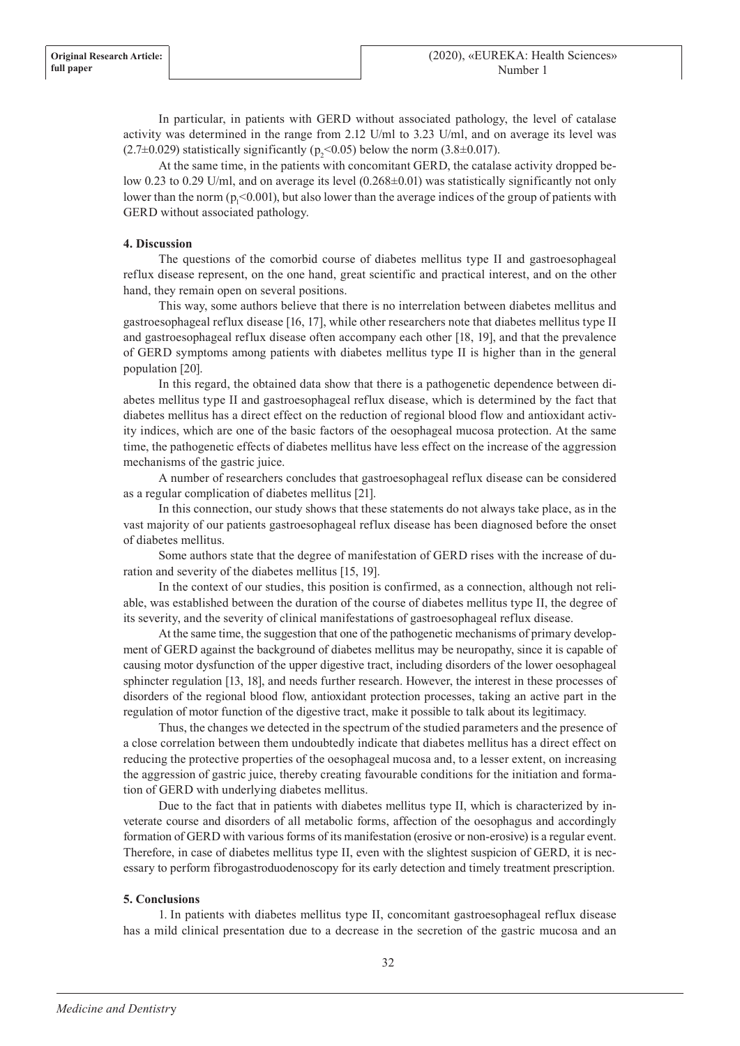In particular, in patients with GERD without associated pathology, the level of catalase activity was determined in the range from 2.12 U/ml to 3.23 U/ml, and on average its level was  $(2.7\pm0.029)$  statistically significantly  $(p_2<0.05)$  below the norm  $(3.8\pm0.017)$ .

At the same time, in the patients with concomitant GERD, the catalase activity dropped below 0.23 to 0.29 U/ml, and on average its level (0.268±0.01) was statistically significantly not only lower than the norm ( $p_1$ <0.001), but also lower than the average indices of the group of patients with GERD without associated pathology.

# **4. Discussion**

The questions of the comorbid course of diabetes mellitus type II and gastroesophageal reflux disease represent, on the one hand, great scientific and practical interest, and on the other hand, they remain open on several positions.

This way, some authors believe that there is no interrelation between diabetes mellitus and gastroesophageal reflux disease [16, 17], while other researchers note that diabetes mellitus type II and gastroesophageal reflux disease often accompany each other [18, 19], and that the prevalence of GERD symptoms among patients with diabetes mellitus type II is higher than in the general population [20].

In this regard, the obtained data show that there is a pathogenetic dependence between diabetes mellitus type II and gastroesophageal reflux disease, which is determined by the fact that diabetes mellitus has a direct effect on the reduction of regional blood flow and antioxidant activity indices, which are one of the basic factors of the oesophageal mucosa protection. At the same time, the pathogenetic effects of diabetes mellitus have less effect on the increase of the aggression mechanisms of the gastric juice.

A number of researchers concludes that gastroesophageal reflux disease can be considered as a regular complication of diabetes mellitus [21].

In this connection, our study shows that these statements do not always take place, as in the vast majority of our patients gastroesophageal reflux disease has been diagnosed before the onset of diabetes mellitus.

Some authors state that the degree of manifestation of GERD rises with the increase of duration and severity of the diabetes mellitus [15, 19].

In the context of our studies, this position is confirmed, as a connection, although not reliable, was established between the duration of the course of diabetes mellitus type II, the degree of its severity, and the severity of clinical manifestations of gastroesophageal reflux disease.

At the same time, the suggestion that one of the pathogenetic mechanisms of primary development of GERD against the background of diabetes mellitus may be neuropathy, since it is capable of causing motor dysfunction of the upper digestive tract, including disorders of the lower oesophageal sphincter regulation [13, 18], and needs further research. However, the interest in these processes of disorders of the regional blood flow, antioxidant protection processes, taking an active part in the regulation of motor function of the digestive tract, make it possible to talk about its legitimacy.

Thus, the changes we detected in the spectrum of the studied parameters and the presence of a close correlation between them undoubtedly indicate that diabetes mellitus has a direct effect on reducing the protective properties of the oesophageal mucosa and, to a lesser extent, on increasing the aggression of gastric juice, thereby creating favourable conditions for the initiation and formation of GERD with underlying diabetes mellitus.

Due to the fact that in patients with diabetes mellitus type II, which is characterized by inveterate course and disorders of all metabolic forms, affection of the oesophagus and accordingly formation of GERD with various forms of its manifestation (erosive or non-erosive) is a regular event. Therefore, in case of diabetes mellitus type II, even with the slightest suspicion of GERD, it is necessary to perform fibrogastroduodenoscopy for its early detection and timely treatment prescription.

### **5. Conclusions**

1. In patients with diabetes mellitus type II, concomitant gastroesophageal reflux disease has a mild clinical presentation due to a decrease in the secretion of the gastric mucosa and an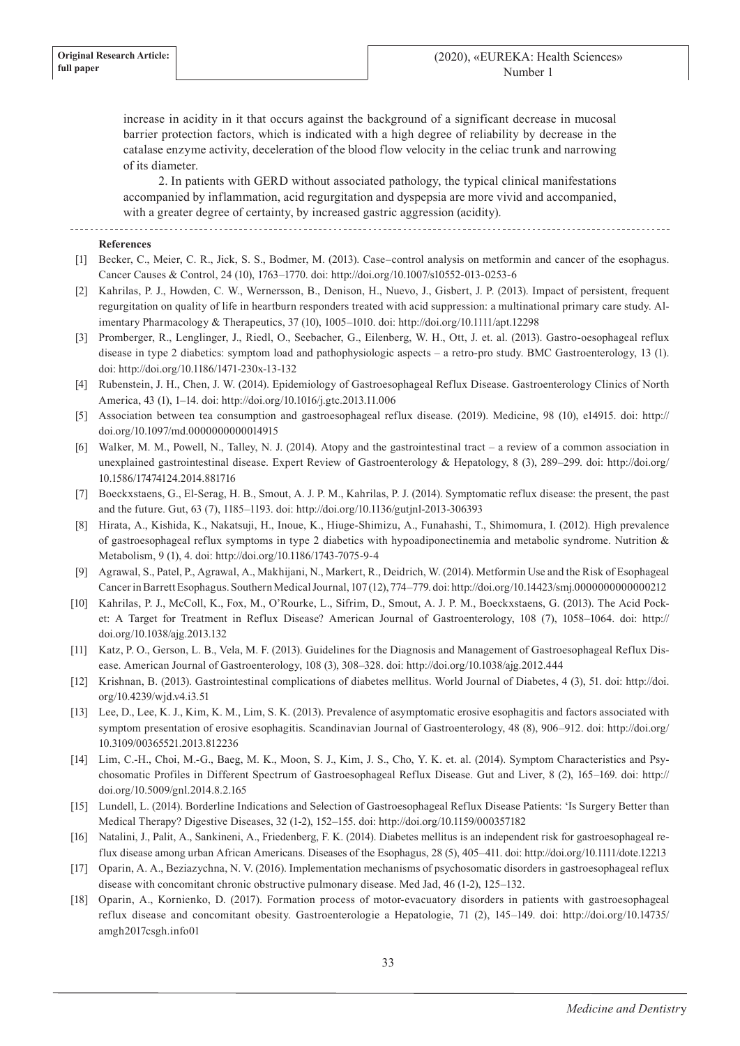increase in acidity in it that occurs against the background of a significant decrease in mucosal barrier protection factors, which is indicated with a high degree of reliability by decrease in the catalase enzyme activity, deceleration of the blood flow velocity in the celiac trunk and narrowing of its diameter.

2. In patients with GERD without associated pathology, the typical clinical manifestations accompanied by inflammation, acid regurgitation and dyspepsia are more vivid and accompanied, with a greater degree of certainty, by increased gastric aggression (acidity).

#### **References**

- [1] Becker, C., Meier, C. R., Jick, S. S., Bodmer, M. (2013). Case–control analysis on metformin and cancer of the esophagus. Cancer Causes & Control, 24 (10), 1763–1770. doi: http://doi.org/10.1007/s10552-013-0253-6
- [2] Kahrilas, P. J., Howden, C. W., Wernersson, B., Denison, H., Nuevo, J., Gisbert, J. P. (2013). Impact of persistent, frequent regurgitation on quality of life in heartburn responders treated with acid suppression: a multinational primary care study. Alimentary Pharmacology & Therapeutics, 37 (10), 1005–1010. doi: http://doi.org/10.1111/apt.12298
- [3] Promberger, R., Lenglinger, J., Riedl, O., Seebacher, G., Eilenberg, W. H., Ott, J. et. al. (2013). Gastro-oesophageal reflux disease in type 2 diabetics: symptom load and pathophysiologic aspects – a retro-pro study. BMC Gastroenterology, 13 (1). doi: http://doi.org/10.1186/1471-230x-13-132
- [4] Rubenstein, J. H., Chen, J. W. (2014). Epidemiology of Gastroesophageal Reflux Disease. Gastroenterology Clinics of North America, 43 (1), 1–14. doi: http://doi.org/10.1016/j.gtc.2013.11.006
- [5] Association between tea consumption and gastroesophageal reflux disease. (2019). Medicine, 98 (10), e14915. doi: http:// doi.org/10.1097/md.0000000000014915
- [6] Walker, M. M., Powell, N., Talley, N. J. (2014). Atopy and the gastrointestinal tract a review of a common association in unexplained gastrointestinal disease. Expert Review of Gastroenterology & Hepatology, 8 (3), 289–299. doi: http://doi.org/ 10.1586/17474124.2014.881716
- [7] Boeckxstaens, G., El-Serag, H. B., Smout, A. J. P. M., Kahrilas, P. J. (2014). Symptomatic reflux disease: the present, the past and the future. Gut, 63 (7), 1185–1193. doi: http://doi.org/10.1136/gutjnl-2013-306393
- [8] Hirata, A., Kishida, K., Nakatsuji, H., Inoue, K., Hiuge-Shimizu, A., Funahashi, T., Shimomura, I. (2012). High prevalence of gastroesophageal reflux symptoms in type 2 diabetics with hypoadiponectinemia and metabolic syndrome. Nutrition & Metabolism, 9 (1), 4. doi: http://doi.org/10.1186/1743-7075-9-4
- [9] Agrawal, S., Patel, P., Agrawal, A., Makhijani, N., Markert, R., Deidrich, W. (2014). Metformin Use and the Risk of Esophageal Cancer in Barrett Esophagus. Southern Medical Journal, 107 (12), 774–779. doi: http://doi.org/10.14423/smj.0000000000000212
- [10] Kahrilas, P. J., McColl, K., Fox, M., O'Rourke, L., Sifrim, D., Smout, A. J. P. M., Boeckxstaens, G. (2013). The Acid Pocket: A Target for Treatment in Reflux Disease? American Journal of Gastroenterology, 108 (7), 1058–1064. doi: http:// doi.org/10.1038/ajg.2013.132
- [11] Katz, P. O., Gerson, L. B., Vela, M. F. (2013). Guidelines for the Diagnosis and Management of Gastroesophageal Reflux Disease. American Journal of Gastroenterology, 108 (3), 308–328. doi: http://doi.org/10.1038/ajg.2012.444
- [12] Krishnan, B. (2013). Gastrointestinal complications of diabetes mellitus. World Journal of Diabetes, 4 (3), 51. doi: http://doi. org/10.4239/wjd.v4.i3.51
- [13] Lee, D., Lee, K. J., Kim, K. M., Lim, S. K. (2013). Prevalence of asymptomatic erosive esophagitis and factors associated with symptom presentation of erosive esophagitis. Scandinavian Journal of Gastroenterology, 48 (8), 906–912. doi: http://doi.org/ 10.3109/00365521.2013.812236
- [14] Lim, C.-H., Choi, M.-G., Baeg, M. K., Moon, S. J., Kim, J. S., Cho, Y. K. et. al. (2014). Symptom Characteristics and Psychosomatic Profiles in Different Spectrum of Gastroesophageal Reflux Disease. Gut and Liver, 8 (2), 165–169. doi: http:// doi.org/10.5009/gnl.2014.8.2.165
- [15] Lundell, L. (2014). Borderline Indications and Selection of Gastroesophageal Reflux Disease Patients: 'Is Surgery Better than Medical Therapy? Digestive Diseases, 32 (1-2), 152–155. doi: http://doi.org/10.1159/000357182
- [16] Natalini, J., Palit, A., Sankineni, A., Friedenberg, F. K. (2014). Diabetes mellitus is an independent risk for gastroesophageal reflux disease among urban African Americans. Diseases of the Esophagus, 28 (5), 405–411. doi: http://doi.org/10.1111/dote.12213
- [17] Oparin, A. A., Beziazychna, N. V. (2016). Implementation mechanisms of psychosomatic disorders in gastroesophageal reflux disease with concomitant chronic obstructive pulmonary disease. Med Jad, 46 (1-2), 125–132.
- [18] Oparin, A., Kornienko, D. (2017). Formation process of motor-evacuatory disorders in patients with gastroesophageal reflux disease and concomitant obesity. Gastroenterologie a Hepatologie, 71 (2), 145–149. doi: http://doi.org/10.14735/ amgh2017csgh.info01